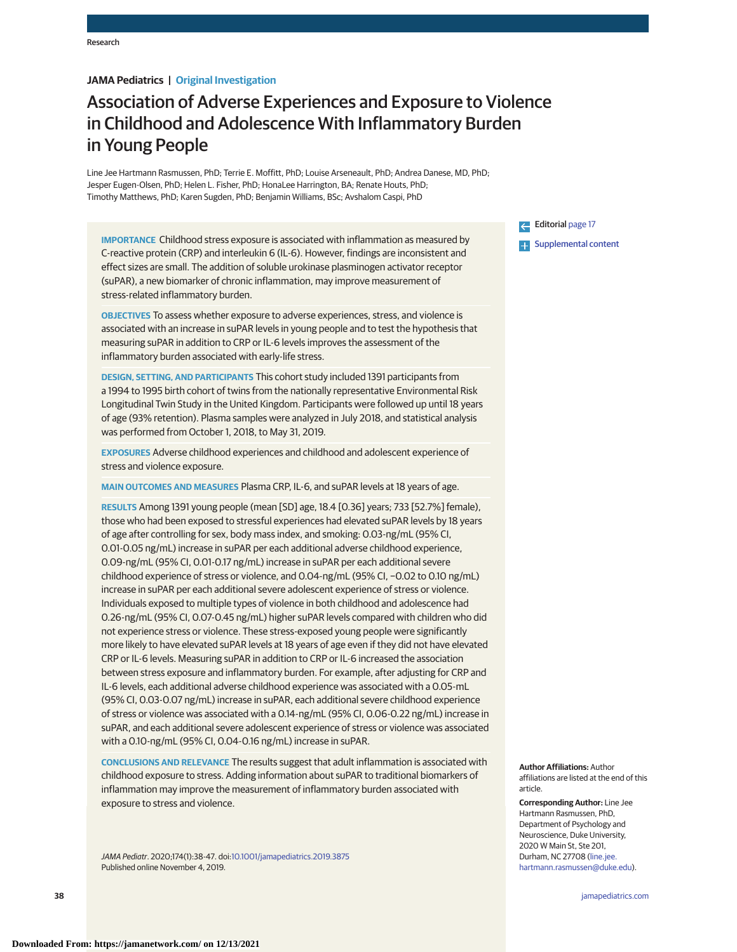# **JAMA Pediatrics | Original Investigation**

# Association of Adverse Experiences and Exposure to Violence in Childhood and Adolescence With Inflammatory Burden in Young People

Line Jee Hartmann Rasmussen, PhD; Terrie E. Moffitt, PhD; Louise Arseneault, PhD; Andrea Danese, MD, PhD; Jesper Eugen-Olsen, PhD; Helen L. Fisher, PhD; HonaLee Harrington, BA; Renate Houts, PhD; Timothy Matthews, PhD; Karen Sugden, PhD; Benjamin Williams, BSc; Avshalom Caspi, PhD

**IMPORTANCE** Childhood stress exposure is associated with inflammation as measured by C-reactive protein (CRP) and interleukin 6 (IL-6). However, findings are inconsistent and effect sizes are small. The addition of soluble urokinase plasminogen activator receptor (suPAR), a new biomarker of chronic inflammation, may improve measurement of stress-related inflammatory burden.

**OBJECTIVES** To assess whether exposure to adverse experiences, stress, and violence is associated with an increase in suPAR levels in young people and to test the hypothesis that measuring suPAR in addition to CRP or IL-6 levels improves the assessment of the inflammatory burden associated with early-life stress.

**DESIGN, SETTING, AND PARTICIPANTS** This cohort study included 1391 participants from a 1994 to 1995 birth cohort of twins from the nationally representative Environmental Risk Longitudinal Twin Study in the United Kingdom. Participants were followed up until 18 years of age (93% retention). Plasma samples were analyzed in July 2018, and statistical analysis was performed from October 1, 2018, to May 31, 2019.

**EXPOSURES** Adverse childhood experiences and childhood and adolescent experience of stress and violence exposure.

**MAIN OUTCOMES AND MEASURES** Plasma CRP, IL-6, and suPAR levels at 18 years of age.

**RESULTS** Among 1391 young people (mean [SD] age, 18.4 [0.36] years; 733 [52.7%] female), those who had been exposed to stressful experiences had elevated suPAR levels by 18 years of age after controlling for sex, body mass index, and smoking: 0.03-ng/mL (95% CI, 0.01-0.05 ng/mL) increase in suPAR per each additional adverse childhood experience, 0.09-ng/mL (95% CI, 0.01-0.17 ng/mL) increase in suPAR per each additional severe childhood experience of stress or violence, and 0.04-ng/mL (95% CI, −0.02 to 0.10 ng/mL) increase in suPAR per each additional severe adolescent experience of stress or violence. Individuals exposed to multiple types of violence in both childhood and adolescence had 0.26-ng/mL (95% CI, 0.07-0.45 ng/mL) higher suPAR levels compared with children who did not experience stress or violence. These stress-exposed young people were significantly more likely to have elevated suPAR levels at 18 years of age even if they did not have elevated CRP or IL-6 levels. Measuring suPAR in addition to CRP or IL-6 increased the association between stress exposure and inflammatory burden. For example, after adjusting for CRP and IL-6 levels, each additional adverse childhood experience was associated with a 0.05-mL (95% CI, 0.03-0.07 ng/mL) increase in suPAR, each additional severe childhood experience of stress or violence was associated with a 0.14-ng/mL (95% CI, 0.06-0.22 ng/mL) increase in suPAR, and each additional severe adolescent experience of stress or violence was associated with a 0.10-ng/mL (95% CI, 0.04-0.16 ng/mL) increase in suPAR.

**CONCLUSIONS AND RELEVANCE** The results suggest that adult inflammation is associated with childhood exposure to stress. Adding information about suPAR to traditional biomarkers of inflammation may improve the measurement of inflammatory burden associated with exposure to stress and violence.

JAMA Pediatr. 2020;174(1):38-47. doi[:10.1001/jamapediatrics.2019.3875](https://jamanetwork.com/journals/jama/fullarticle/10.1001/jamapediatrics.2019.3875?utm_campaign=articlePDF%26utm_medium=articlePDFlink%26utm_source=articlePDF%26utm_content=jamapediatrics.2019.3875) Published online November 4, 2019.

Editorial [page 17](https://jamanetwork.com/journals/jama/fullarticle/10.1001/jamapediatrics.2019.3882?utm_campaign=articlePDF%26utm_medium=articlePDFlink%26utm_source=articlePDF%26utm_content=jamapediatrics.2019.3875) **Examplemental content** 

**Author Affiliations:** Author affiliations are listed at the end of this article.

**Corresponding Author:** Line Jee Hartmann Rasmussen, PhD, Department of Psychology and Neuroscience, Duke University, 2020 W Main St, Ste 201, Durham, NC 27708 [\(line.jee.](mailto:line.jee.hartmann.rasmussen@duke.edu) [hartmann.rasmussen@duke.edu\)](mailto:line.jee.hartmann.rasmussen@duke.edu).

**38 (Reprinted)** [jamapediatrics.com](http://www.jamapediatrics.com/?utm_campaign=articlePDF%26utm_medium=articlePDFlink%26utm_source=articlePDF%26utm_content=jamapediatrics.2019.3875)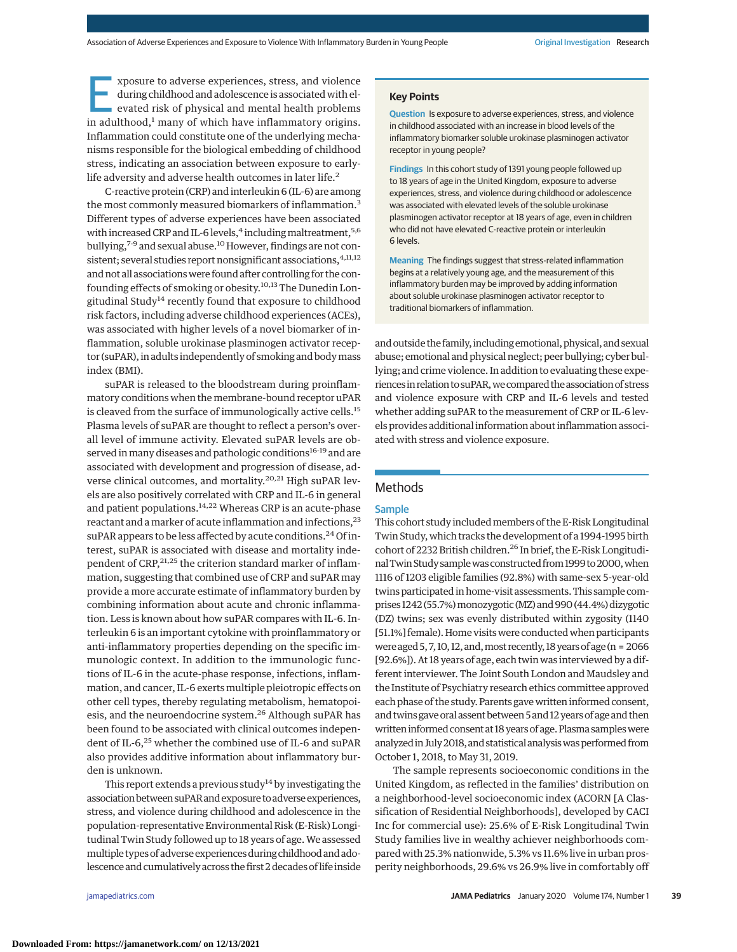E xposure to adverse experiences, stress, and violence<br>during childhood and adolescence is associated with el-<br>evated risk of physical and mental health problems<br>in adulthood <sup>1</sup> many of which have inflammatory origins during childhood and adolescence is associated with elin adulthood, $<sup>1</sup>$  many of which have inflammatory origins.</sup> Inflammation could constitute one of the underlying mechanisms responsible for the biological embedding of childhood stress, indicating an association between exposure to earlylife adversity and adverse health outcomes in later life.<sup>2</sup>

C-reactive protein (CRP) and interleukin 6 (IL-6) are among the most commonly measured biomarkers of inflammation.<sup>3</sup> Different types of adverse experiences have been associated with increased CRP and IL-6 levels,<sup>4</sup> including maltreatment,<sup>5,6</sup> bullying,<sup>7-9</sup> and sexual abuse.<sup>10</sup> However, findings are not consistent; several studies report nonsignificant associations, 4,11,12 and not all associations were found after controlling for the confounding effects of smoking or obesity.<sup>10,13</sup> The Dunedin Longitudinal Study<sup>14</sup> recently found that exposure to childhood risk factors, including adverse childhood experiences (ACEs), was associated with higher levels of a novel biomarker of inflammation, soluble urokinase plasminogen activator receptor (suPAR), in adults independently of smoking and bodymass index (BMI).

suPAR is released to the bloodstream during proinflammatory conditions when the membrane-bound receptor uPAR is cleaved from the surface of immunologically active cells.<sup>15</sup> Plasma levels of suPAR are thought to reflect a person's overall level of immune activity. Elevated suPAR levels are observed in many diseases and pathologic conditions<sup>16-19</sup> and are associated with development and progression of disease, adverse clinical outcomes, and mortality.<sup>20,21</sup> High suPAR levels are also positively correlated with CRP and IL-6 in general and patient populations.<sup>14,22</sup> Whereas CRP is an acute-phase reactant and a marker of acute inflammation and infections,<sup>23</sup> suPAR appears to be less affected by acute conditions.<sup>24</sup> Of interest, suPAR is associated with disease and mortality independent of CRP, 21, 25 the criterion standard marker of inflammation, suggesting that combined use of CRP and suPAR may provide a more accurate estimate of inflammatory burden by combining information about acute and chronic inflammation. Less is known about how suPAR compares with IL-6. Interleukin 6 is an important cytokine with proinflammatory or anti-inflammatory properties depending on the specific immunologic context. In addition to the immunologic functions of IL-6 in the acute-phase response, infections, inflammation, and cancer, IL-6 exerts multiple pleiotropic effects on other cell types, thereby regulating metabolism, hematopoiesis, and the neuroendocrine system.<sup>26</sup> Although suPAR has been found to be associated with clinical outcomes independent of IL-6,<sup>25</sup> whether the combined use of IL-6 and suPAR also provides additive information about inflammatory burden is unknown.

This report extends a previous study $14$  by investigating the association between suPAR and exposure to adverse experiences, stress, and violence during childhood and adolescence in the population-representative Environmental Risk (E-Risk) Longitudinal Twin Study followed up to 18 years of age. We assessed multiple types of adverse experiences during childhood and adolescence and cumulatively across the first 2 decades of life inside

#### **Key Points**

**Question** Is exposure to adverse experiences, stress, and violence in childhood associated with an increase in blood levels of the inflammatory biomarker soluble urokinase plasminogen activator receptor in young people?

**Findings** In this cohort study of 1391 young people followed up to 18 years of age in the United Kingdom, exposure to adverse experiences, stress, and violence during childhood or adolescence was associated with elevated levels of the soluble urokinase plasminogen activator receptor at 18 years of age, even in children who did not have elevated C-reactive protein or interleukin 6 levels.

**Meaning** The findings suggest that stress-related inflammation begins at a relatively young age, and the measurement of this inflammatory burden may be improved by adding information about soluble urokinase plasminogen activator receptor to traditional biomarkers of inflammation.

and outside the family, including emotional, physical, and sexual abuse; emotional and physical neglect; peer bullying; cyber bullying; and crime violence. In addition to evaluating these experiences in relation to suPAR, we compared the association of stress and violence exposure with CRP and IL-6 levels and tested whether adding suPAR to the measurement of CRP or IL-6 levels provides additional information about inflammation associated with stress and violence exposure.

## Methods

#### Sample

This cohort study includedmembers of the E-Risk Longitudinal Twin Study, which tracks the development of a 1994-1995 birth cohort of 2232 British children.<sup>26</sup> In brief, the E-Risk Longitudinal Twin Study sample was constructed from 1999 to 2000, when 1116 of 1203 eligible families (92.8%) with same-sex 5-year-old twins participated in home-visit assessments. This sample comprises 1242 (55.7%) monozygotic (MZ) and 990 (44.4%) dizygotic (DZ) twins; sex was evenly distributed within zygosity (1140 [51.1%] female). Home visits were conducted when participants were aged  $5, 7, 10, 12,$  and, most recently, 18 years of age (n = 2066 [92.6%]). At 18 years of age, each twin was interviewed by a different interviewer. The Joint South London and Maudsley and the Institute of Psychiatry research ethics committee approved each phase of the study. Parents gave written informed consent, and twins gave oral assent between 5 and 12 years of age and then written informed consent at 18 years of age. Plasma samples were analyzed in July 2018, and statistical analysis was performed from October 1, 2018, to May 31, 2019.

The sample represents socioeconomic conditions in the United Kingdom, as reflected in the families' distribution on a neighborhood-level socioeconomic index (ACORN [A Classification of Residential Neighborhoods], developed by CACI Inc for commercial use): 25.6% of E-Risk Longitudinal Twin Study families live in wealthy achiever neighborhoods compared with 25.3% nationwide, 5.3% vs 11.6% live in urban prosperity neighborhoods, 29.6% vs 26.9% live in comfortably off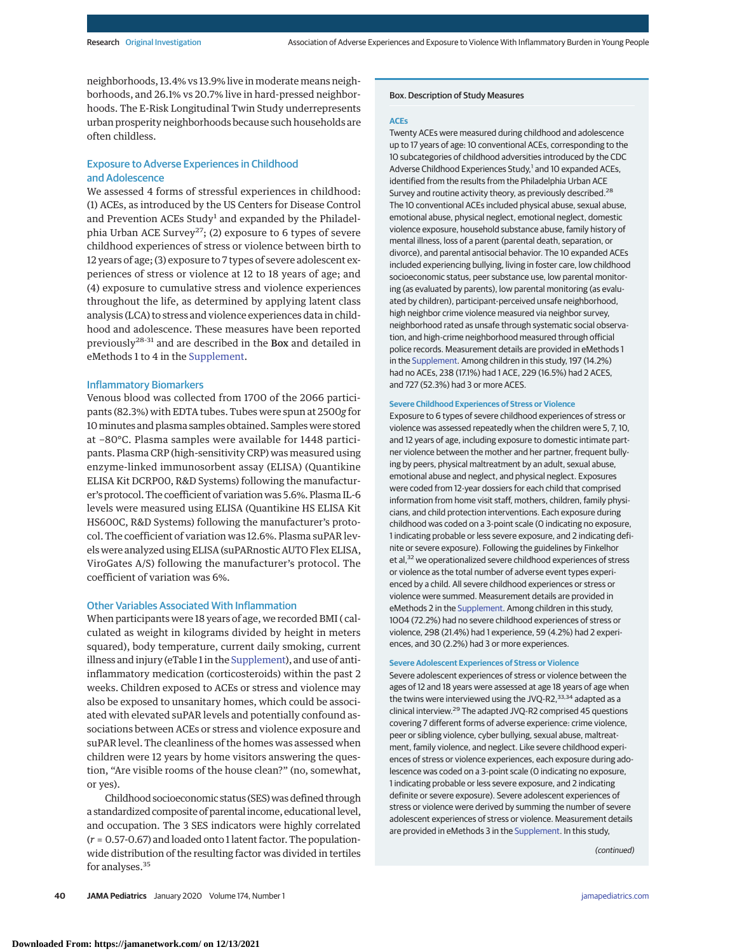neighborhoods, 13.4% vs 13.9% live in moderate means neighborhoods, and 26.1% vs 20.7% live in hard-pressed neighborhoods. The E-Risk Longitudinal Twin Study underrepresents urban prosperity neighborhoods because such households are often childless.

## Exposure to Adverse Experiences in Childhood and Adolescence

We assessed 4 forms of stressful experiences in childhood: (1) ACEs, as introduced by the US Centers for Disease Control and Prevention ACEs Study<sup>1</sup> and expanded by the Philadelphia Urban ACE Survey<sup>27</sup>; (2) exposure to 6 types of severe childhood experiences of stress or violence between birth to 12 years of age; (3) exposure to 7 types of severe adolescent experiences of stress or violence at 12 to 18 years of age; and (4) exposure to cumulative stress and violence experiences throughout the life, as determined by applying latent class analysis (LCA) to stress and violence experiences data in childhood and adolescence. These measures have been reported previously28-31 and are described in the Box and detailed in eMethods 1 to 4 in the [Supplement.](https://jamanetwork.com/journals/jama/fullarticle/10.1001/jamapediatrics.2019.3875?utm_campaign=articlePDF%26utm_medium=articlePDFlink%26utm_source=articlePDF%26utm_content=jamapediatrics.2019.3875)

## Inflammatory Biomarkers

Venous blood was collected from 1700 of the 2066 participants (82.3%) with EDTA tubes. Tubes were spun at 2500*g* for 10minutes and plasma samples obtained. Samples were stored at −80°C. Plasma samples were available for 1448 participants. Plasma CRP (high-sensitivity CRP) was measured using enzyme-linked immunosorbent assay (ELISA) (Quantikine ELISA Kit DCRP00, R&D Systems) following the manufacturer's protocol. The coefficient of variation was 5.6%. Plasma IL-6 levels were measured using ELISA (Quantikine HS ELISA Kit HS600C, R&D Systems) following the manufacturer's protocol. The coefficient of variation was 12.6%. Plasma suPAR levels were analyzed using ELISA (suPARnostic AUTO Flex ELISA, ViroGates A/S) following the manufacturer's protocol. The coefficient of variation was 6%.

#### Other Variables Associated With Inflammation

When participants were 18 years of age, we recorded BMI ( calculated as weight in kilograms divided by height in meters squared), body temperature, current daily smoking, current illness and injury (eTable 1 in the [Supplement\)](https://jamanetwork.com/journals/jama/fullarticle/10.1001/jamapediatrics.2019.3875?utm_campaign=articlePDF%26utm_medium=articlePDFlink%26utm_source=articlePDF%26utm_content=jamapediatrics.2019.3875), and use of antiinflammatory medication (corticosteroids) within the past 2 weeks. Children exposed to ACEs or stress and violence may also be exposed to unsanitary homes, which could be associated with elevated suPAR levels and potentially confound associations between ACEs or stress and violence exposure and suPAR level. The cleanliness of the homes was assessed when children were 12 years by home visitors answering the question, "Are visible rooms of the house clean?" (no, somewhat, or yes).

Childhood socioeconomic status (SES) was defined through a standardized composite of parental income, educational level, and occupation. The 3 SES indicators were highly correlated (*r* = 0.57-0.67) and loaded onto 1 latent factor. The populationwide distribution of the resulting factor was divided in tertiles for analyses.<sup>35</sup>

#### Box. Description of Study Measures

#### **ACEs**

Twenty ACEs were measured during childhood and adolescence up to 17 years of age: 10 conventional ACEs, corresponding to the 10 subcategories of childhood adversities introduced by the CDC Adverse Childhood Experiences Study,<sup>1</sup> and 10 expanded ACEs, identified from the results from the Philadelphia Urban ACE Survey and routine activity theory, as previously described.<sup>28</sup> The 10 conventional ACEs included physical abuse, sexual abuse, emotional abuse, physical neglect, emotional neglect, domestic violence exposure, household substance abuse, family history of mental illness, loss of a parent (parental death, separation, or divorce), and parental antisocial behavior. The 10 expanded ACEs included experiencing bullying, living in foster care, low childhood socioeconomic status, peer substance use, low parental monitoring (as evaluated by parents), low parental monitoring (as evaluated by children), participant-perceived unsafe neighborhood, high neighbor crime violence measured via neighbor survey, neighborhood rated as unsafe through systematic social observation, and high-crime neighborhood measured through official police records. Measurement details are provided in eMethods 1 in the [Supplement.](https://jamanetwork.com/journals/jama/fullarticle/10.1001/jamapediatrics.2019.3875?utm_campaign=articlePDF%26utm_medium=articlePDFlink%26utm_source=articlePDF%26utm_content=jamapediatrics.2019.3875) Among children in this study, 197 (14.2%) had no ACEs, 238 (17.1%) had 1 ACE, 229 (16.5%) had 2 ACES, and 727 (52.3%) had 3 or more ACES.

#### **Severe Childhood Experiences of Stress or Violence**

Exposure to 6 types of severe childhood experiences of stress or violence was assessed repeatedly when the children were 5, 7, 10, and 12 years of age, including exposure to domestic intimate partner violence between the mother and her partner, frequent bullying by peers, physical maltreatment by an adult, sexual abuse, emotional abuse and neglect, and physical neglect. Exposures were coded from 12-year dossiers for each child that comprised information from home visit staff, mothers, children, family physicians, and child protection interventions. Each exposure during childhood was coded on a 3-point scale (0 indicating no exposure, 1 indicating probable or less severe exposure, and 2 indicating definite or severe exposure). Following the guidelines by Finkelhor et al,<sup>32</sup> we operationalized severe childhood experiences of stress or violence as the total number of adverse event types experienced by a child. All severe childhood experiences or stress or violence were summed. Measurement details are provided in eMethods 2 in the [Supplement.](https://jamanetwork.com/journals/jama/fullarticle/10.1001/jamapediatrics.2019.3875?utm_campaign=articlePDF%26utm_medium=articlePDFlink%26utm_source=articlePDF%26utm_content=jamapediatrics.2019.3875) Among children in this study, 1004 (72.2%) had no severe childhood experiences of stress or violence, 298 (21.4%) had 1 experience, 59 (4.2%) had 2 experiences, and 30 (2.2%) had 3 or more experiences.

#### **Severe Adolescent Experiences of Stress or Violence**

Severe adolescent experiences of stress or violence between the ages of 12 and 18 years were assessed at age 18 years of age when the twins were interviewed using the JVQ-R2,<sup>33,34</sup> adapted as a clinical interview.<sup>29</sup> The adapted JVQ-R2 comprised 45 questions covering 7 different forms of adverse experience: crime violence, peer or sibling violence, cyber bullying, sexual abuse, maltreatment, family violence, and neglect. Like severe childhood experiences of stress or violence experiences, each exposure during adolescence was coded on a 3-point scale (0 indicating no exposure, 1 indicating probable or less severe exposure, and 2 indicating definite or severe exposure). Severe adolescent experiences of stress or violence were derived by summing the number of severe adolescent experiences of stress or violence. Measurement details are provided in eMethods 3 in the [Supplement.](https://jamanetwork.com/journals/jama/fullarticle/10.1001/jamapediatrics.2019.3875?utm_campaign=articlePDF%26utm_medium=articlePDFlink%26utm_source=articlePDF%26utm_content=jamapediatrics.2019.3875) In this study,

(continued)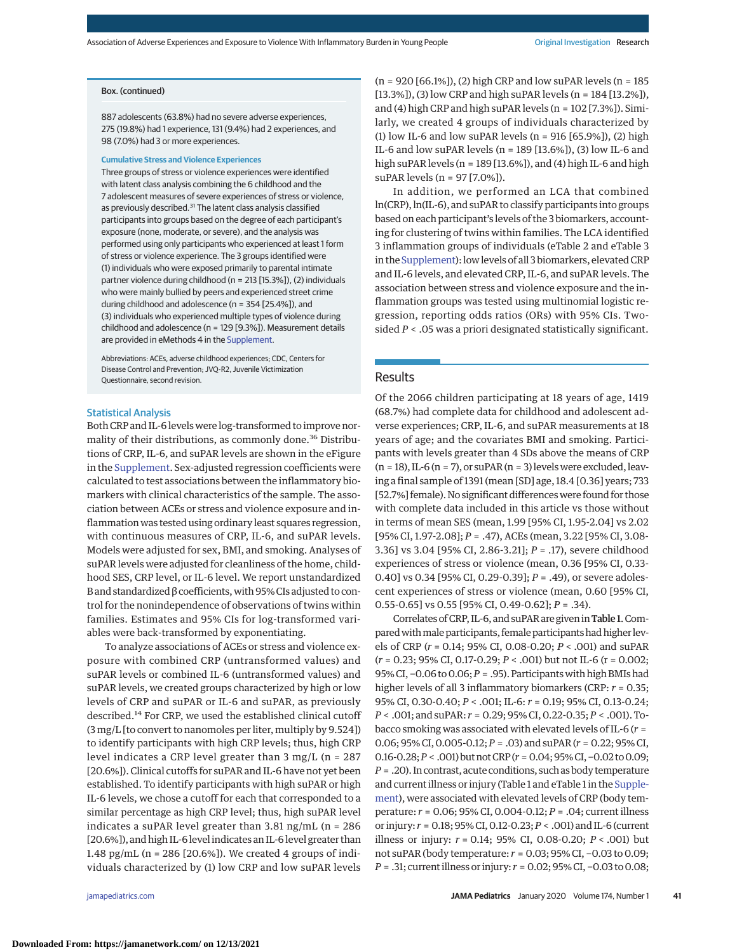## Box. (continued)

887 adolescents (63.8%) had no severe adverse experiences, 275 (19.8%) had 1 experience, 131 (9.4%) had 2 experiences, and 98 (7.0%) had 3 or more experiences.

#### **Cumulative Stress and Violence Experiences**

Three groups of stress or violence experiences were identified with latent class analysis combining the 6 childhood and the 7 adolescent measures of severe experiences of stress or violence, as previously described.<sup>31</sup> The latent class analysis classified participants into groups based on the degree of each participant's exposure (none, moderate, or severe), and the analysis was performed using only participants who experienced at least 1 form of stress or violence experience. The 3 groups identified were (1) individuals who were exposed primarily to parental intimate partner violence during childhood (n = 213 [15.3%]), (2) individuals who were mainly bullied by peers and experienced street crime during childhood and adolescence (n = 354 [25.4%]), and (3) individuals who experienced multiple types of violence during childhood and adolescence (n = 129 [9.3%]). Measurement details are provided in eMethods 4 in the [Supplement.](https://jamanetwork.com/journals/jama/fullarticle/10.1001/jamapediatrics.2019.3875?utm_campaign=articlePDF%26utm_medium=articlePDFlink%26utm_source=articlePDF%26utm_content=jamapediatrics.2019.3875)

Abbreviations: ACEs, adverse childhood experiences; CDC, Centers for Disease Control and Prevention; JVQ-R2, Juvenile Victimization Questionnaire, second revision.

#### Statistical Analysis

Both CRP and IL-6 levels were log-transformed to improve normality of their distributions, as commonly done.<sup>36</sup> Distributions of CRP, IL-6, and suPAR levels are shown in the eFigure in the [Supplement.](https://jamanetwork.com/journals/jama/fullarticle/10.1001/jamapediatrics.2019.3875?utm_campaign=articlePDF%26utm_medium=articlePDFlink%26utm_source=articlePDF%26utm_content=jamapediatrics.2019.3875) Sex-adjusted regression coefficients were calculated to test associations between the inflammatory biomarkers with clinical characteristics of the sample. The association between ACEs or stress and violence exposure and inflammation was tested using ordinary least squares regression, with continuous measures of CRP, IL-6, and suPAR levels. Models were adjusted for sex, BMI, and smoking. Analyses of suPAR levels were adjusted for cleanliness of the home, childhood SES, CRP level, or IL-6 level. We report unstandardized B and standardized β coefficients,with 95% CIs adjusted to control for the nonindependence of observations of twins within families. Estimates and 95% CIs for log-transformed variables were back-transformed by exponentiating.

To analyze associations of ACEs or stress and violence exposure with combined CRP (untransformed values) and suPAR levels or combined IL-6 (untransformed values) and suPAR levels, we created groups characterized by high or low levels of CRP and suPAR or IL-6 and suPAR, as previously described.<sup>14</sup> For CRP, we used the established clinical cutoff (3 mg/L [to convert to nanomoles per liter, multiply by 9.524]) to identify participants with high CRP levels; thus, high CRP level indicates a CRP level greater than 3 mg/L (n = 287 [20.6%]). Clinical cutoffs for suPAR and IL-6 have not yet been established. To identify participants with high suPAR or high IL-6 levels, we chose a cutoff for each that corresponded to a similar percentage as high CRP level; thus, high suPAR level indicates a suPAR level greater than 3.81 ng/mL (n = 286 [20.6%]), and high IL-6 level indicates an IL-6 level greater than 1.48 pg/mL (n = 286 [20.6%]). We created 4 groups of individuals characterized by (1) low CRP and low suPAR levels

 $(n = 920 [66.1\%])$ , (2) high CRP and low suPAR levels  $(n = 185)$ [13.3%]), (3) low CRP and high suPAR levels (n = 184 [13.2%]), and (4) high CRP and high suPAR levels (n = 102 [7.3%]). Similarly, we created 4 groups of individuals characterized by (1) low IL-6 and low suPAR levels ( $n = 916$  [65.9%]), (2) high IL-6 and low suPAR levels (n = 189 [13.6%]), (3) low IL-6 and high suPAR levels (n = 189 [13.6%]), and (4) high IL-6 and high suPAR levels (n = 97 [7.0%]).

In addition, we performed an LCA that combined ln(CRP), ln(IL-6), and suPAR to classify participants into groups based on each participant's levels of the 3 biomarkers, accounting for clustering of twins within families. The LCA identified 3 inflammation groups of individuals (eTable 2 and eTable 3 in the [Supplement\)](https://jamanetwork.com/journals/jama/fullarticle/10.1001/jamapediatrics.2019.3875?utm_campaign=articlePDF%26utm_medium=articlePDFlink%26utm_source=articlePDF%26utm_content=jamapediatrics.2019.3875): low levels of all 3 biomarkers, elevated CRP and IL-6 levels, and elevated CRP, IL-6, and suPAR levels. The association between stress and violence exposure and the inflammation groups was tested using multinomial logistic regression, reporting odds ratios (ORs) with 95% CIs. Twosided *P* < .05 was a priori designated statistically significant.

#### Results

Of the 2066 children participating at 18 years of age, 1419 (68.7%) had complete data for childhood and adolescent adverse experiences; CRP, IL-6, and suPAR measurements at 18 years of age; and the covariates BMI and smoking. Participants with levels greater than 4 SDs above the means of CRP  $(n = 18)$ , IL-6  $(n = 7)$ , or suPAR  $(n = 3)$  levels were excluded, leaving a final sample of 1391 (mean [SD] age, 18.4 [0.36] years; 733 [52.7%] female). No significant differences were found for those with complete data included in this article vs those without in terms of mean SES (mean, 1.99 [95% CI, 1.95-2.04] vs 2.02 [95% CI, 1.97-2.08]; *P* = .47), ACEs (mean, 3.22 [95% CI, 3.08- 3.36] vs 3.04 [95% CI, 2.86-3.21]; *P* = .17), severe childhood experiences of stress or violence (mean, 0.36 [95% CI, 0.33- 0.40] vs 0.34 [95% CI, 0.29-0.39]; *P* = .49), or severe adolescent experiences of stress or violence (mean, 0.60 [95% CI, 0.55-0.65] vs 0.55 [95% CI, 0.49-0.62]; *P* = .34).

Correlates of CRP, IL-6, and suPAR are given in Table 1. Compared with male participants, female participants had higher levels of CRP (*r* = 0.14; 95% CI, 0.08-0.20; *P* < .001) and suPAR (*r* = 0.23; 95% CI, 0.17-0.29; *P* < .001) but not IL-6 (r = 0.002; 95% CI, −0.06 to 0.06;*P* = .95). Participants with high BMIs had higher levels of all 3 inflammatory biomarkers (CRP: *r* = 0.35; 95% CI, 0.30-0.40; *P* < .001; IL-6: *r* = 0.19; 95% CI, 0.13-0.24; *P* < .001; and suPAR: *r* = 0.29; 95% CI, 0.22-0.35;*P* < .001). Tobacco smoking was associated with elevated levels of IL-6 (*r* = 0.06; 95% CI, 0.005-0.12;*P* = .03) and suPAR (*r* = 0.22; 95% CI, 0.16-0.28;*P* < .001) butnotCRP (*r* = 0.04;95%CI,−0.02 to0.09; *P* = .20). In contrast, acute conditions, such as body temperature and current illness or injury (Table 1 and eTable 1 in the [Supple](https://jamanetwork.com/journals/jama/fullarticle/10.1001/jamapediatrics.2019.3875?utm_campaign=articlePDF%26utm_medium=articlePDFlink%26utm_source=articlePDF%26utm_content=jamapediatrics.2019.3875)[ment\)](https://jamanetwork.com/journals/jama/fullarticle/10.1001/jamapediatrics.2019.3875?utm_campaign=articlePDF%26utm_medium=articlePDFlink%26utm_source=articlePDF%26utm_content=jamapediatrics.2019.3875), were associated with elevated levels of CRP (body temperature: *r* = 0.06; 95% CI, 0.004-0.12; *P* = .04; current illness or injury: *r* = 0.18; 95% CI, 0.12-0.23;*P* < .001) and IL-6 (current illness or injury: *r* = 0.14; 95% CI, 0.08-0.20; *P* < .001) but not suPAR (body temperature: *r* = 0.03; 95% CI, −0.03 to 0.09; *P* = .31; current illness or injury: *r* = 0.02; 95% CI, −0.03 to 0.08;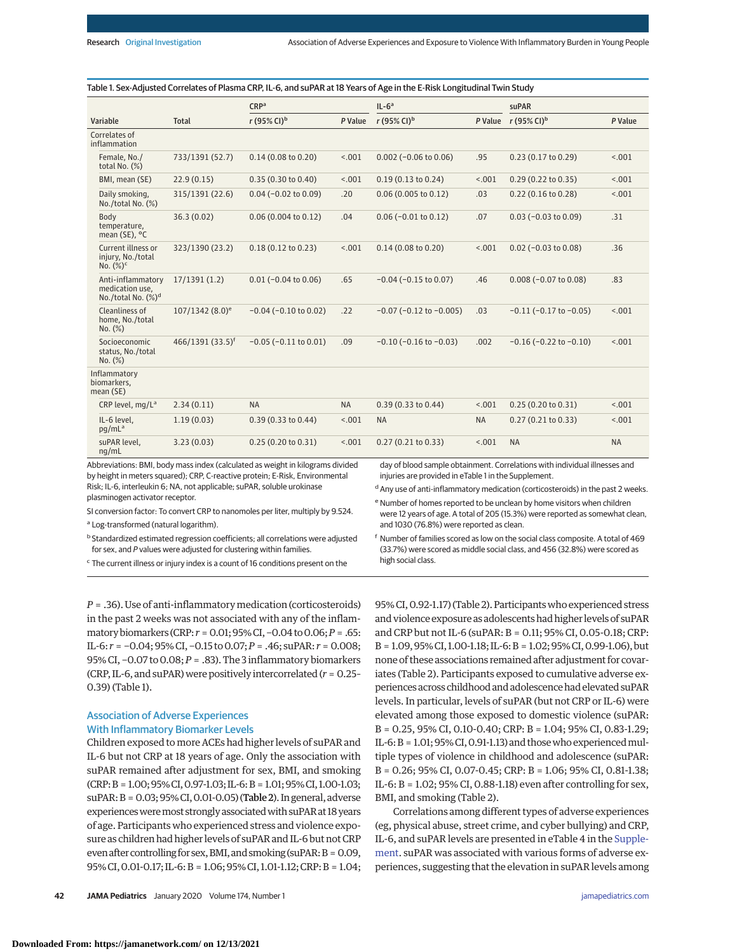|                                                                        |                             | CRP <sup>a</sup>                                                                                                                                                                                                                          |           | $IL-6a$                                              |           | suPAR                                                                                                                                                                     |           |
|------------------------------------------------------------------------|-----------------------------|-------------------------------------------------------------------------------------------------------------------------------------------------------------------------------------------------------------------------------------------|-----------|------------------------------------------------------|-----------|---------------------------------------------------------------------------------------------------------------------------------------------------------------------------|-----------|
| Variable                                                               | Total                       | r (95% CI) <sup>b</sup>                                                                                                                                                                                                                   | P Value   | $r(95\% \text{ Cl})^b$                               | P Value   | r (95% CI) <sup>b</sup>                                                                                                                                                   | P Value   |
| Correlates of<br>inflammation                                          |                             |                                                                                                                                                                                                                                           |           |                                                      |           |                                                                                                                                                                           |           |
| Female, No./<br>total No. (%)                                          | 733/1391 (52.7)             | 0.14(0.08 to 0.20)                                                                                                                                                                                                                        | < .001    | $0.002$ (-0.06 to 0.06)                              | .95       | 0.23(0.17 to 0.29)                                                                                                                                                        | < .001    |
| BMI, mean (SE)                                                         | 22.9(0.15)                  | 0.35(0.30 to 0.40)                                                                                                                                                                                                                        | < .001    | $0.19(0.13 \text{ to } 0.24)$                        | < .001    | $0.29(0.22 \text{ to } 0.35)$                                                                                                                                             | < .001    |
| Daily smoking,<br>No./total No. (%)                                    | 315/1391 (22.6)             | $0.04 (-0.02 to 0.09)$                                                                                                                                                                                                                    | .20       | $0.06$ (0.005 to 0.12)                               | .03       | $0.22$ (0.16 to 0.28)                                                                                                                                                     | < .001    |
| Body<br>temperature,<br>mean (SE), $^{\circ}$ C                        | 36.3(0.02)                  | 0.06(0.004 to 0.12)                                                                                                                                                                                                                       | .04       | $0.06$ (-0.01 to 0.12)                               | .07       | $0.03$ (-0.03 to 0.09)                                                                                                                                                    | .31       |
| Current illness or<br>injury, No./total<br>No. $(\%)^c$                | 323/1390 (23.2)             | $0.18(0.12 \text{ to } 0.23)$                                                                                                                                                                                                             | < .001    | $0.14$ (0.08 to 0.20)                                | < .001    | $0.02$ (-0.03 to 0.08)                                                                                                                                                    | .36       |
| Anti-inflammatory<br>medication use,<br>No./total No. (%) <sup>d</sup> | 17/1391(1.2)                | $0.01$ (-0.04 to 0.06)                                                                                                                                                                                                                    | .65       | $-0.04$ ( $-0.15$ to 0.07)                           | .46       | $0.008 (-0.07 to 0.08)$                                                                                                                                                   | .83       |
| Cleanliness of<br>home, No./total<br>No. (%)                           | 107/1342 (8.0) <sup>e</sup> | $-0.04$ ( $-0.10$ to 0.02)                                                                                                                                                                                                                | .22       | $-0.07$ ( $-0.12$ to $-0.005$ )                      | .03       | $-0.11$ ( $-0.17$ to $-0.05$ )                                                                                                                                            | < .001    |
| Socioeconomic<br>status, No./total<br>No. (%)                          | $466/1391(33.5)^{f}$        | $-0.05$ ( $-0.11$ to $0.01$ )                                                                                                                                                                                                             | .09       | $-0.10$ ( $-0.16$ to $-0.03$ )                       | .002      | $-0.16$ ( $-0.22$ to $-0.10$ )                                                                                                                                            | < .001    |
| Inflammatory<br>biomarkers,<br>mean (SE)                               |                             |                                                                                                                                                                                                                                           |           |                                                      |           |                                                                                                                                                                           |           |
| CRP level, mg/L <sup>a</sup>                                           | 2.34(0.11)                  | <b>NA</b>                                                                                                                                                                                                                                 | <b>NA</b> | 0.39(0.33 to 0.44)                                   | < .001    | 0.25(0.20 to 0.31)                                                                                                                                                        | < .001    |
| IL-6 level.<br>pq/mL <sup>a</sup>                                      | 1.19(0.03)                  | $0.39(0.33)$ to $0.44$ )                                                                                                                                                                                                                  | < .001    | <b>NA</b>                                            | <b>NA</b> | 0.27(0.21 to 0.33)                                                                                                                                                        | < .001    |
| suPAR level,<br>nq/mL                                                  | 3.23(0.03)                  | 0.25(0.20 to 0.31)                                                                                                                                                                                                                        | < .001    | 0.27(0.21 to 0.33)                                   | < .001    | <b>NA</b>                                                                                                                                                                 | <b>NA</b> |
|                                                                        |                             | Abbreviations: BMI, body mass index (calculated as weight in kilograms divided<br>by height in meters squared); CRP, C-reactive protein; E-Risk, Environmental<br>Risk; IL-6, interleukin 6; NA, not applicable; suPAR, soluble urokinase |           | injuries are provided in eTable 1 in the Supplement. |           | day of blood sample obtainment. Correlations with individual illnesses and<br><sup>d</sup> Any use of anti-inflammatory medication (corticosteroids) in the past 2 weeks. |           |

plasminogen activator receptor.

SI conversion factor: To convert CRP to nanomoles per liter, multiply by 9.524.

<sup>a</sup> Log-transformed (natural logarithm).

 $<sup>b</sup>$  Standardized estimated regression coefficients; all correlations were adjusted</sup> for sex, and P values were adjusted for clustering within families.

<sup>c</sup> The current illness or injury index is a count of 16 conditions present on the

*P* = .36). Use of anti-inflammatory medication (corticosteroids) in the past 2 weeks was not associated with any of the inflammatory biomarkers (CRP: *r* = 0.01; 95% CI, -0.04 to 0.06; *P* = .65: IL-6: *r* = −0.04; 95% CI, −0.15 to0.07;*P* = .46; suPAR: *r* = 0.008; 95% CI, −0.07 to 0.08;*P* = .83). The 3 inflammatory biomarkers (CRP, IL-6, and suPAR)were positively intercorrelated (*r* = 0.25– 0.39) (Table 1).

# Association of Adverse Experiences

## With Inflammatory Biomarker Levels

Children exposed tomore ACEs had higher levels of suPAR and IL-6 but not CRP at 18 years of age. Only the association with suPAR remained after adjustment for sex, BMI, and smoking (CRP:B = 1.00;95%CI,0.97-1.03; IL-6:B = 1.01;95%CI, 1.00-1.03; suPAR: B = 0.03; 95% CI, 0.01-0.05) (Table 2). In general, adverse experiences were most strongly associated with suPAR at 18 years of age. Participants who experienced stress and violence exposure as children had higher levels of suPAR and IL-6 but not CRP even after controlling for sex, BMI, and smoking (suPAR:  $B = 0.09$ , 95%CI,0.01-0.17; IL-6:B = 1.06; 95%CI, 1.01-1.12;CRP:B = 1.04; 95% CI,0.92-1.17) (Table 2). Participantswho experienced stress and violence exposure as adolescents had higher levels of suPAR and CRP but not IL-6 (suPAR: B = 0.11; 95% CI, 0.05-0.18; CRP: B = 1.09, 95%CI, 1.00-1.18; IL-6:B = 1.02; 95%CI,0.99-1.06), but none of these associations remained after adjustment for covariates (Table 2). Participants exposed to cumulative adverse experiences across childhood and adolescencehad elevated suPAR levels. In particular, levels of suPAR (but not CRP or IL-6) were elevated among those exposed to domestic violence (suPAR: B = 0.25, 95% CI, 0.10-0.40; CRP: B = 1.04; 95% CI, 0.83-1.29; IL-6:  $B = 1.01$ ; 95% CI, 0.91-1.13) and those who experienced multiple types of violence in childhood and adolescence (suPAR: B = 0.26; 95% CI, 0.07-0.45; CRP: B = 1.06; 95% CI, 0.81-1.38; IL-6: B = 1.02; 95% CI, 0.88-1.18) even after controlling for sex, BMI, and smoking (Table 2).

e Number of homes reported to be unclean by home visitors when children were 12 years of age. A total of 205 (15.3%) were reported as somewhat clean,

<sup>f</sup> Number of families scored as low on the social class composite. A total of 469 (33.7%) were scored as middle social class, and 456 (32.8%) were scored as

and 1030 (76.8%) were reported as clean.

high social class.

Correlations among different types of adverse experiences (eg, physical abuse, street crime, and cyber bullying) and CRP, IL-6, and suPAR levels are presented in eTable 4 in the [Supple](https://jamanetwork.com/journals/jama/fullarticle/10.1001/jamapediatrics.2019.3875?utm_campaign=articlePDF%26utm_medium=articlePDFlink%26utm_source=articlePDF%26utm_content=jamapediatrics.2019.3875)[ment.](https://jamanetwork.com/journals/jama/fullarticle/10.1001/jamapediatrics.2019.3875?utm_campaign=articlePDF%26utm_medium=articlePDFlink%26utm_source=articlePDF%26utm_content=jamapediatrics.2019.3875) suPAR was associated with various forms of adverse experiences, suggesting that the elevation in suPAR levels among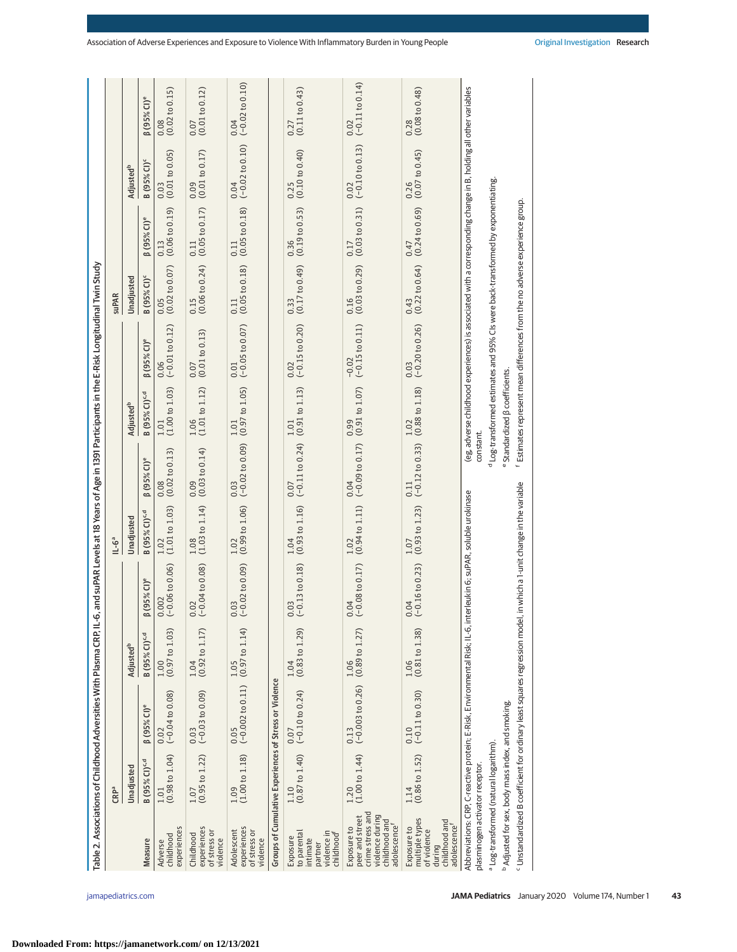| $\begin{array}{c} 1.01 \\ (0.98 \text{ to } 1.04) \end{array}$<br>B (95% CI) <sup>c,d</sup><br>Unadjusted<br>CRPª<br>Measure<br>Adverse                                                                                                                                                                                                       |                                                              |                            |                                          |                                                                |                                                             |                                                       |                                                                                                                                                                                                                                                                                     |                                                                |                                                                |                                                                |                                                                          |
|-----------------------------------------------------------------------------------------------------------------------------------------------------------------------------------------------------------------------------------------------------------------------------------------------------------------------------------------------|--------------------------------------------------------------|----------------------------|------------------------------------------|----------------------------------------------------------------|-------------------------------------------------------------|-------------------------------------------------------|-------------------------------------------------------------------------------------------------------------------------------------------------------------------------------------------------------------------------------------------------------------------------------------|----------------------------------------------------------------|----------------------------------------------------------------|----------------------------------------------------------------|--------------------------------------------------------------------------|
|                                                                                                                                                                                                                                                                                                                                               |                                                              |                            |                                          | $11 - 6^a$                                                     |                                                             |                                                       |                                                                                                                                                                                                                                                                                     | <b>SuPAR</b>                                                   |                                                                |                                                                |                                                                          |
|                                                                                                                                                                                                                                                                                                                                               |                                                              | Adjusted <sup>b</sup>      |                                          | Unadjusted                                                     |                                                             | Adjusted <sup>b</sup>                                 |                                                                                                                                                                                                                                                                                     | Unadjusted                                                     |                                                                | Adjusted <sup>b</sup>                                          |                                                                          |
|                                                                                                                                                                                                                                                                                                                                               | $(95\%$ CI) <sup>e</sup>                                     | B (95% CI) <sup>c, d</sup> | $(95\%$ CI) <sup>e</sup><br>$\circ$      | B (95% CI) <sup>c,d</sup>                                      | $(95\%$ CI) <sup>e</sup>                                    | <b>B</b> (95% CI) <sup>c,d</sup>                      | $(95\%$ CI) <sup>e</sup>                                                                                                                                                                                                                                                            | <b>B</b> (95% CI) <sup>c</sup>                                 | $(95\%$ CI) <sup>e</sup>                                       | <b>B</b> (95% CI) <sup>c</sup>                                 | $(95\%$ CI) <sup>e</sup>                                                 |
| experiences<br>childhood                                                                                                                                                                                                                                                                                                                      | $(-0.04 to 0.08)$<br>0.02                                    | $1.00$<br>(0.97 to 1.03)   | $(-0.06 to 0.06)$<br>.002                | $\begin{array}{c} 1.02 \\ (1.01 \text{ to } 1.03) \end{array}$ | $\begin{array}{c} 0.08 \\ (0.02~{\rm to}~0.13) \end{array}$ | $1.01$<br>(1.00 to 1.03)                              | $\begin{array}{c} 0.06 \ (-0.01 \text{ to } 0.12) \end{array}$                                                                                                                                                                                                                      | $\begin{array}{c} 0.05 \\ (0.02 \text{ to } 0.07) \end{array}$ | $\begin{array}{c} 0.13 \\ (0.06 \text{ to } 0.19) \end{array}$ | $\begin{array}{c} 0.03 \\ (0.01~{\rm to}~0.05) \end{array}$    | $\begin{array}{c} 0.08 \\ (0.02 \text{ to } 0.15) \end{array}$           |
| (0.95 to 1.22)<br>1.07<br>experiences<br>of stress or<br>Childhood<br>violence                                                                                                                                                                                                                                                                | $(-0.03 to 0.09)$<br>0.03                                    | $1.04$<br>(0.92 to 1.17)   | $0.02$<br>(-0.04 to 0.08)                | $\begin{array}{c} 1.08 \\ (1.03 \text{ to } 1.14) \end{array}$ | $\begin{array}{c} 0.09 \\ (0.03 to 0.14) \end{array}$       | $\begin{array}{c} 1.06 \\ (1.01 to 1.12) \end{array}$ | $\begin{array}{c} 0.07 \\ (0.01 \text{ to } 0.13) \end{array}$                                                                                                                                                                                                                      | $0.15$<br>(0.06 to 0.24)                                       | $\begin{array}{c} 0.11 \\ (0.05~{\rm to}~0.17) \end{array}$    | $\begin{array}{c} 0.09 \\ (0.01 \text{ to } 0.17) \end{array}$ | $\begin{array}{c} 0.07 \\ (0.01\  \, \mathrm{to}\  \, 0.12) \end{array}$ |
| (1.00 to 1.18)<br>1.09<br>experiences<br>of stress or<br>Adolescent<br>violence                                                                                                                                                                                                                                                               | $(-0.002 to 0.11)$<br>0.05                                   | (0.97 to 1.14)<br>1.05     | $(-0.02 to 0.09)$<br>0.03                | (0.99 to 1.06)<br>1.02                                         | $0.03$<br>(-0.02 to 0.09)                                   | (0.97 to 1.05)<br>$1.01\,$                            | $(-0.05 to 0.07)$<br>0.01                                                                                                                                                                                                                                                           | (0.05 to 0.18)<br>0.11                                         | $\begin{array}{c} 0.11 \\ (0.05~{\rm to}~0.18) \end{array}$    | $0.04$<br>(-0.02 to 0.10)                                      | $0.04$<br>(-0.02 to 0.10)                                                |
| Groups of Cumulative Experiences of Stress or Violence                                                                                                                                                                                                                                                                                        |                                                              |                            |                                          |                                                                |                                                             |                                                       |                                                                                                                                                                                                                                                                                     |                                                                |                                                                |                                                                |                                                                          |
| 1.10<br>violence in<br>to parental<br>childhood <sup>f</sup><br>Exposure<br>intimate<br>partner                                                                                                                                                                                                                                               | $(0.87 \text{ to } 1.40)$ $(-0.10 \text{ to } 0.24)$<br>0.07 | $1.04$<br>(0.83 to 1.29)   | $0.03$<br>(-0.13 to 0.18)                | $\begin{array}{c} 1.04 \\ (0.93 \text{ to } 1.16) \end{array}$ | $(-0.11 to 0.24)$ $(0.91 to 1.13)$<br>0.07                  | 1.01                                                  | $0.02$<br>(-0.15 to 0.20)                                                                                                                                                                                                                                                           | (0.17 to 0.49)<br>0.33                                         | $\begin{array}{c} 0.36 \\ (0.19 \text{ to } 0.53) \end{array}$ | (0.10 to 0.40)<br>0.25                                         | (0.11 to 0.43)<br>0.27                                                   |
| (1.00 to 1.44)<br>1.20<br>crime stress and<br>violence during<br>peer and street<br>childhood and<br>adolescence <sup>f</sup><br>Exposure to                                                                                                                                                                                                  | $(-0.003 to 0.26)$<br>0.13                                   | (0.89 to 1.27)<br>1.06     | $(-0.08 to 0.17)$<br>04                  | (0.94 to 1.11)                                                 | $(-0.09 to 0.17)$<br>0.04                                   | (0.91 to 1.07)<br>0.99                                | $(-0.15 to 0.11)$<br>$-0.02$                                                                                                                                                                                                                                                        | $\begin{array}{c} 0.16 \\ (0.03 to 0.29) \end{array}$          | (0.03 to 0.31)<br>0.17                                         | $0.02$<br>(-0.10 to 0.13)                                      | $(-0.11 to 0.14)$<br>0.02                                                |
| $(0.86 \text{ to } 1.52)$<br>1.14<br>multiple types<br>childhood and<br>adolescence <sup>t</sup><br>Exposure to<br>of violence<br>during                                                                                                                                                                                                      | $(-0.11 to 0.30)$<br>0.10                                    | (0.81 to 1.38)<br>1.06     | $(-0.16 to 0.23)$<br>04<br>$\circ$       | (0.93 to 1.23)<br>1.07                                         | $(-0.12 to 0.33)$<br>0.11                                   | (0.88 to 1.18)<br>1.02                                | $(-0.20 to 0.26)$<br>0.03                                                                                                                                                                                                                                                           | (0.22 to 0.64)<br>0.43                                         | (0.24 to 0.69)<br>0.47                                         | $0.26$<br>(0.07 to 0.45)                                       | (0.08 to 0.48)<br>0.28                                                   |
| Abbreviations: CRP, C-reactive protein; E-Risk, Environmental Risk; IL-6, interleukin 6; suPAR, soluble urokinase<br>· Unstandardized B coefficient for ordinary least squares regression model,<br><sup>b</sup> Adjusted for sex, body mass index, and smoking.<br>a Log-transformed (natural logarithm).<br>plasminogen activator receptor. |                                                              |                            | in which a 1-unit change in the variable |                                                                | constant.                                                   | Standardized <sub>B</sub> coefficients.               | (eg. adverse childhood experiences) is associated with a corresponding change in B, holding all other variables<br>d Log-transformed estimates and 95% CIs were back-transformed by exponentiating.<br>f Estimates represent mean differences from the no adverse experience group. |                                                                |                                                                |                                                                |                                                                          |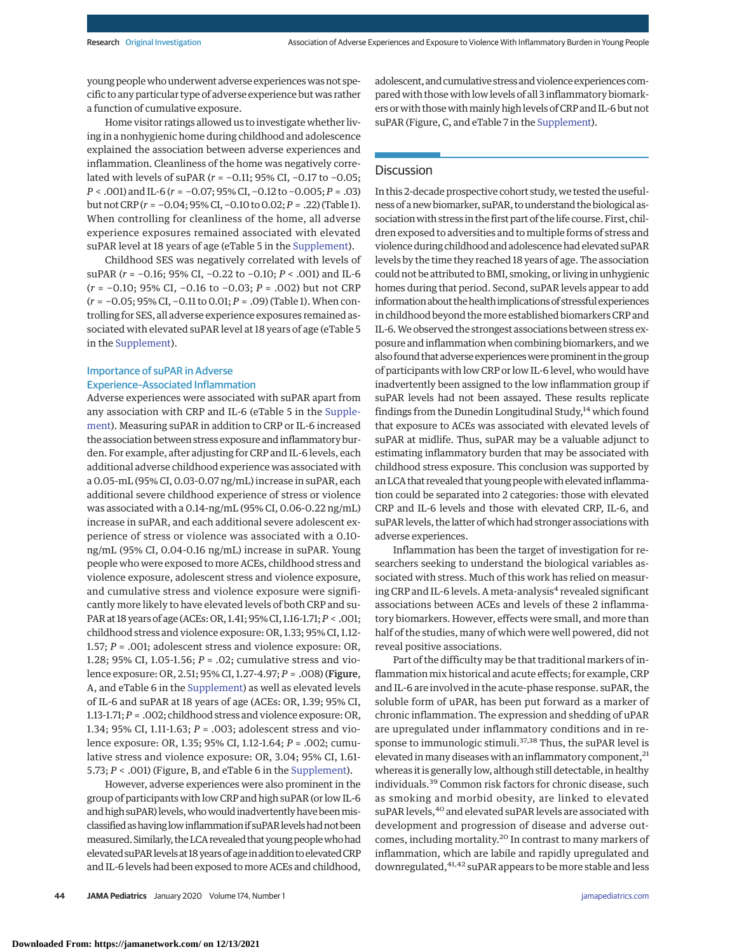young peoplewho underwent adverse experienceswas not specific to any particular type of adverse experience but was rather a function of cumulative exposure.

Home visitor ratings allowed us to investigate whether living in a nonhygienic home during childhood and adolescence explained the association between adverse experiences and inflammation. Cleanliness of the home was negatively correlated with levels of suPAR (*r* = −0.11; 95% CI, −0.17 to −0.05; *P* < .001) and IL-6 (*r* = −0.07; 95% CI, −0.12 to −0.005; *P* = .03) but not CRP (*r* = −0.04; 95% CI, −0.10 to 0.02;*P* = .22) (Table 1). When controlling for cleanliness of the home, all adverse experience exposures remained associated with elevated suPAR level at 18 years of age (eTable 5 in the [Supplement\)](https://jamanetwork.com/journals/jama/fullarticle/10.1001/jamapediatrics.2019.3875?utm_campaign=articlePDF%26utm_medium=articlePDFlink%26utm_source=articlePDF%26utm_content=jamapediatrics.2019.3875).

Childhood SES was negatively correlated with levels of suPAR (*r* = −0.16; 95% CI, −0.22 to −0.10; *P* < .001) and IL-6 (*r* = −0.10; 95% CI, −0.16 to −0.03; *P* = .002) but not CRP (*r* = −0.05; 95% CI, −0.11 to 0.01; *P* = .09) (Table 1). When controlling for SES, all adverse experience exposures remained associated with elevated suPAR level at 18 years of age (eTable 5 in the [Supplement\)](https://jamanetwork.com/journals/jama/fullarticle/10.1001/jamapediatrics.2019.3875?utm_campaign=articlePDF%26utm_medium=articlePDFlink%26utm_source=articlePDF%26utm_content=jamapediatrics.2019.3875).

## Importance of suPAR in Adverse Experience–Associated Inflammation

Adverse experiences were associated with suPAR apart from any association with CRP and IL-6 (eTable 5 in the [Supple](https://jamanetwork.com/journals/jama/fullarticle/10.1001/jamapediatrics.2019.3875?utm_campaign=articlePDF%26utm_medium=articlePDFlink%26utm_source=articlePDF%26utm_content=jamapediatrics.2019.3875)[ment\)](https://jamanetwork.com/journals/jama/fullarticle/10.1001/jamapediatrics.2019.3875?utm_campaign=articlePDF%26utm_medium=articlePDFlink%26utm_source=articlePDF%26utm_content=jamapediatrics.2019.3875). Measuring suPAR in addition to CRP or IL-6 increased the association between stress exposure and inflammatory burden. For example, after adjusting for CRP and IL-6 levels, each additional adverse childhood experience was associated with a 0.05-mL (95% CI, 0.03-0.07 ng/mL) increase in suPAR, each additional severe childhood experience of stress or violence was associated with a 0.14-ng/mL (95% CI, 0.06-0.22 ng/mL) increase in suPAR, and each additional severe adolescent experience of stress or violence was associated with a 0.10 ng/mL (95% CI, 0.04-0.16 ng/mL) increase in suPAR. Young people who were exposed to more ACEs, childhood stress and violence exposure, adolescent stress and violence exposure, and cumulative stress and violence exposure were significantly more likely to have elevated levels of both CRP and su-PAR at 18 years of age (ACEs: OR, 1.41; 95% CI, 1.16-1.71;*P* < .001; childhood stress and violence exposure: OR, 1.33; 95% CI, 1.12- 1.57; *P* = .001; adolescent stress and violence exposure: OR, 1.28; 95% CI, 1.05-1.56; *P* = .02; cumulative stress and violence exposure: OR, 2.51; 95% CI, 1.27-4.97; *P* = .008) (Figure, A, and eTable 6 in the [Supplement\)](https://jamanetwork.com/journals/jama/fullarticle/10.1001/jamapediatrics.2019.3875?utm_campaign=articlePDF%26utm_medium=articlePDFlink%26utm_source=articlePDF%26utm_content=jamapediatrics.2019.3875) as well as elevated levels of IL-6 and suPAR at 18 years of age (ACEs: OR, 1.39; 95% CI, 1.13-1.71;*P* = .002; childhood stress and violence exposure: OR, 1.34; 95% CI, 1.11-1.63; *P* = .003; adolescent stress and violence exposure: OR, 1.35; 95% CI, 1.12-1.64; *P* = .002; cumulative stress and violence exposure: OR, 3.04; 95% CI, 1.61- 5.73; *P* < .001) (Figure, B, and eTable 6 in the [Supplement\)](https://jamanetwork.com/journals/jama/fullarticle/10.1001/jamapediatrics.2019.3875?utm_campaign=articlePDF%26utm_medium=articlePDFlink%26utm_source=articlePDF%26utm_content=jamapediatrics.2019.3875).

However, adverse experiences were also prominent in the group of participants with low CRP and high suPAR (or low IL-6 and high suPAR) levels, who would inadvertently have been misclassified as having low inflammation if suPAR levels had not been measured. Similarly, the LCA revealed that young people who had elevated suPAR levels at 18 years of age in addition to elevated CRP and IL-6 levels had been exposed to more ACEs and childhood, adolescent, and cumulative stress and violence experiences compared with those with low levels of all 3 inflammatory biomarkers or with those with mainly high levels of CRP and IL-6 but not suPAR (Figure, C, and eTable 7 in the [Supplement\)](https://jamanetwork.com/journals/jama/fullarticle/10.1001/jamapediatrics.2019.3875?utm_campaign=articlePDF%26utm_medium=articlePDFlink%26utm_source=articlePDF%26utm_content=jamapediatrics.2019.3875).

# **Discussion**

In this 2-decade prospective cohort study, we tested the usefulness of a new biomarker, suPAR, to understand the biological association with stress in the first part of the life course. First, children exposed to adversities and to multiple forms of stress and violence during childhood and adolescence had elevated suPAR levels by the time they reached 18 years of age. The association could not be attributed to BMI, smoking, or living in unhygienic homes during that period. Second, suPAR levels appear to add information about the health implications of stressful experiences in childhood beyond themore established biomarkers CRP and IL-6.We observed the strongest associations between stress exposure and inflammation when combining biomarkers, and we also found that adverse experiences were prominent in the group of participants with low CRP or low IL-6 level, who would have inadvertently been assigned to the low inflammation group if suPAR levels had not been assayed. These results replicate findings from the Dunedin Longitudinal Study, $^{14}$  which found that exposure to ACEs was associated with elevated levels of suPAR at midlife. Thus, suPAR may be a valuable adjunct to estimating inflammatory burden that may be associated with childhood stress exposure. This conclusion was supported by an LCA that revealed that young peoplewith elevated inflammation could be separated into 2 categories: those with elevated CRP and IL-6 levels and those with elevated CRP, IL-6, and suPAR levels, the latter of which had stronger associations with adverse experiences.

Inflammation has been the target of investigation for researchers seeking to understand the biological variables associated with stress. Much of this work has relied on measuring CRP and IL-6 levels. A meta-analysis<sup>4</sup> revealed significant associations between ACEs and levels of these 2 inflammatory biomarkers. However, effects were small, and more than half of the studies, many of which were well powered, did not reveal positive associations.

Part of the difficulty may be that traditional markers of inflammation mix historical and acute effects; for example, CRP and IL-6 are involved in the acute-phase response. suPAR, the soluble form of uPAR, has been put forward as a marker of chronic inflammation. The expression and shedding of uPAR are upregulated under inflammatory conditions and in response to immunologic stimuli.<sup>37,38</sup> Thus, the suPAR level is elevated in many diseases with an inflammatory component, $^{21}$ whereas it is generally low, although still detectable, in healthy individuals.<sup>39</sup> Common risk factors for chronic disease, such as smoking and morbid obesity, are linked to elevated suPAR levels, <sup>40</sup> and elevated suPAR levels are associated with development and progression of disease and adverse outcomes, including mortality.<sup>20</sup> In contrast to many markers of inflammation, which are labile and rapidly upregulated and downregulated, <sup>41,42</sup> suPAR appears to be more stable and less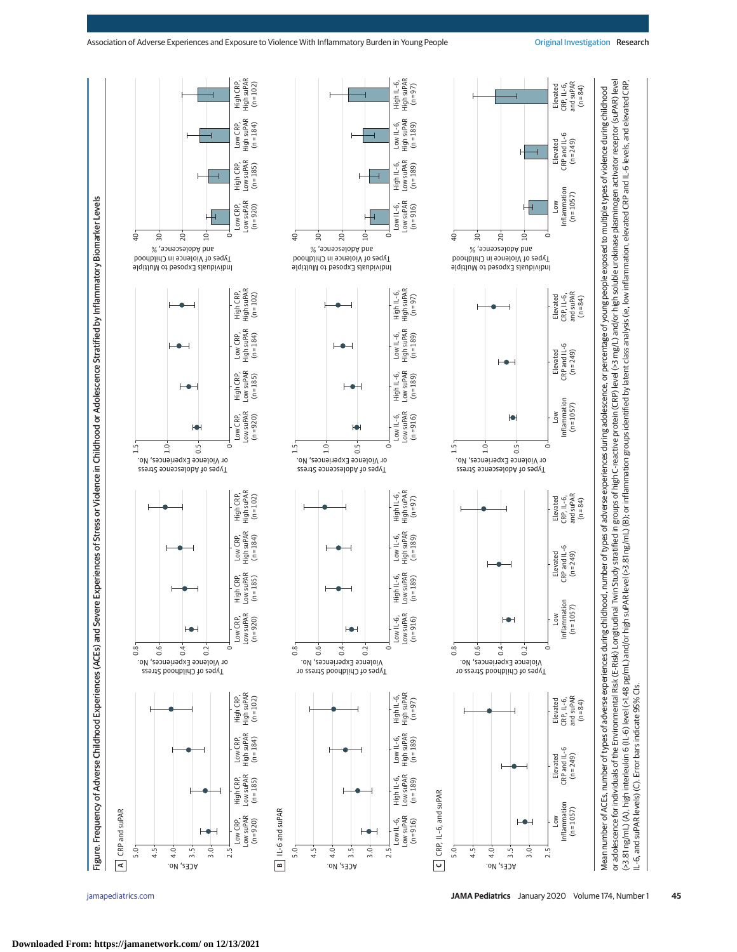

[jamapediatrics.com](http://www.jamapediatrics.com/?utm_campaign=articlePDF%26utm_medium=articlePDFlink%26utm_source=articlePDF%26utm_content=jamapediatrics.2019.3875) **(Reprinted) JAMA Pediatrics** January 2020 Volume 174, Number 1 **45**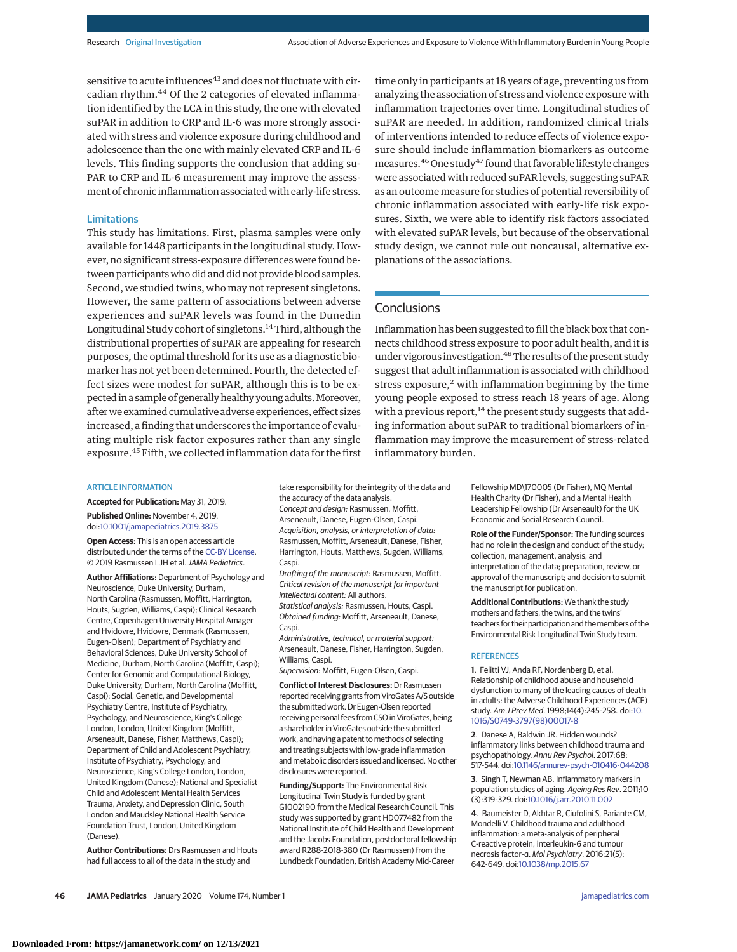sensitive to acute influences<sup>43</sup> and does not fluctuate with circadian rhythm.<sup>44</sup> Of the 2 categories of elevated inflammation identified by the LCA in this study, the one with elevated suPAR in addition to CRP and IL-6 was more strongly associated with stress and violence exposure during childhood and adolescence than the one with mainly elevated CRP and IL-6 levels. This finding supports the conclusion that adding su-PAR to CRP and IL-6 measurement may improve the assessment of chronic inflammation associated with early-life stress.

## Limitations

This study has limitations. First, plasma samples were only available for 1448 participants in the longitudinal study. However, no significant stress-exposure differences were found between participants who did and did not provide blood samples. Second, we studied twins, who may not represent singletons. However, the same pattern of associations between adverse experiences and suPAR levels was found in the Dunedin Longitudinal Study cohort of singletons.14Third, although the distributional properties of suPAR are appealing for research purposes, the optimal threshold for its use as a diagnostic biomarker has not yet been determined. Fourth, the detected effect sizes were modest for suPAR, although this is to be expected in a sample of generally healthy young adults.Moreover, after we examined cumulative adverse experiences, effect sizes increased, a finding that underscores the importance of evaluating multiple risk factor exposures rather than any single exposure.<sup>45</sup> Fifth, we collected inflammation data for the first

time only in participants at 18 years of age, preventing us from analyzing the association of stress and violence exposure with inflammation trajectories over time. Longitudinal studies of suPAR are needed. In addition, randomized clinical trials of interventions intended to reduce effects of violence exposure should include inflammation biomarkers as outcome measures.<sup>46</sup> One study<sup>47</sup> found that favorable lifestyle changes were associated with reduced suPAR levels, suggesting suPAR as an outcome measure for studies of potential reversibility of chronic inflammation associated with early-life risk exposures. Sixth, we were able to identify risk factors associated with elevated suPAR levels, but because of the observational study design, we cannot rule out noncausal, alternative explanations of the associations.

## **Conclusions**

Inflammation has been suggested to fill the black box that connects childhood stress exposure to poor adult health, and it is under vigorous investigation.<sup>48</sup> The results of the present study suggest that adult inflammation is associated with childhood stress exposure, $2$  with inflammation beginning by the time young people exposed to stress reach 18 years of age. Along with a previous report,  $14$  the present study suggests that adding information about suPAR to traditional biomarkers of inflammation may improve the measurement of stress-related inflammatory burden.

#### ARTICLE INFORMATION

**Accepted for Publication:** May 31, 2019. **Published Online:** November 4, 2019.

doi[:10.1001/jamapediatrics.2019.3875](https://jamanetwork.com/journals/jama/fullarticle/10.1001/jamapediatrics.2019.3875?utm_campaign=articlePDF%26utm_medium=articlePDFlink%26utm_source=articlePDF%26utm_content=jamapediatrics.2019.3875)

**Open Access:** This is an open access article distributed under the terms of the [CC-BY License.](https://jamanetwork.com/journals/jamapediatrics/pages/instructions-for-authors?utm_campaign=articlePDF%26utm_medium=articlePDFlink%26utm_source=articlePDF%26utm_content=jamapediatrics.2019.3875#SecOpenAccess) © 2019 Rasmussen LJH et al.JAMA Pediatrics.

**Author Affiliations:** Department of Psychology and Neuroscience, Duke University, Durham, North Carolina (Rasmussen, Moffitt, Harrington, Houts, Sugden, Williams, Caspi); Clinical Research Centre, Copenhagen University Hospital Amager and Hvidovre, Hvidovre, Denmark (Rasmussen, Eugen-Olsen); Department of Psychiatry and Behavioral Sciences, Duke University School of Medicine, Durham, North Carolina (Moffitt, Caspi); Center for Genomic and Computational Biology, Duke University, Durham, North Carolina (Moffitt, Caspi); Social, Genetic, and Developmental Psychiatry Centre, Institute of Psychiatry, Psychology, and Neuroscience, King's College London, London, United Kingdom (Moffitt, Arseneault, Danese, Fisher, Matthews, Caspi); Department of Child and Adolescent Psychiatry, Institute of Psychiatry, Psychology, and Neuroscience, King's College London, London, United Kingdom (Danese); National and Specialist Child and Adolescent Mental Health Services Trauma, Anxiety, and Depression Clinic, South London and Maudsley National Health Service Foundation Trust, London, United Kingdom (Danese).

**Author Contributions:** Drs Rasmussen and Houts had full access to all of the data in the study and

take responsibility for the integrity of the data and the accuracy of the data analysis. Concept and design: Rasmussen, Moffitt, Arseneault, Danese, Eugen-Olsen, Caspi. Acquisition, analysis, or interpretation of data: Rasmussen, Moffitt, Arseneault, Danese, Fisher, Harrington, Houts, Matthews, Sugden, Williams, Caspi.

Drafting of the manuscript: Rasmussen, Moffitt. Critical revision of the manuscript for important intellectual content: All authors. Statistical analysis: Rasmussen, Houts, Caspi.

Obtained funding: Moffitt, Arseneault, Danese, Caspi.

Administrative, technical, or material support: Arseneault, Danese, Fisher, Harrington, Sugden, Williams, Caspi.

Supervision: Moffitt, Eugen-Olsen, Caspi.

**Conflict of Interest Disclosures:** Dr Rasmussen reported receiving grants from ViroGates A/S outside the submitted work. Dr Eugen-Olsen reported receiving personal fees from CSO in ViroGates, being a shareholder in ViroGates outside the submitted work, and having a patent to methods of selecting and treating subjects with low-grade inflammation and metabolic disorders issued and licensed. No other disclosures were reported.

**Funding/Support:** The Environmental Risk Longitudinal Twin Study is funded by grant G1002190 from the Medical Research Council. This study was supported by grant HD077482 from the National Institute of Child Health and Development and the Jacobs Foundation, postdoctoral fellowship award R288-2018-380 (Dr Rasmussen) from the Lundbeck Foundation, British Academy Mid-Career

Fellowship MD\170005 (Dr Fisher), MQ Mental Health Charity (Dr Fisher), and a Mental Health Leadership Fellowship (Dr Arseneault) for the UK Economic and Social Research Council.

**Role of the Funder/Sponsor:** The funding sources had no role in the design and conduct of the study; collection, management, analysis, and interpretation of the data; preparation, review, or approval of the manuscript; and decision to submit the manuscript for publication.

**Additional Contributions:** We thank the study mothers and fathers, the twins, and the twins' teachers for their participation and the members of the Environmental Risk Longitudinal Twin Study team.

#### **REFERENCES**

**1**. Felitti VJ, Anda RF, Nordenberg D, et al. Relationship of childhood abuse and household dysfunction to many of the leading causes of death in adults: the Adverse Childhood Experiences (ACE) study. Am J Prev Med. 1998;14(4):245-258. doi[:10.](https://dx.doi.org/10.1016/S0749-3797(98)00017-8) [1016/S0749-3797\(98\)00017-8](https://dx.doi.org/10.1016/S0749-3797(98)00017-8)

**2**. Danese A, Baldwin JR. Hidden wounds? inflammatory links between childhood trauma and psychopathology. Annu Rev Psychol. 2017;68: 517-544. doi[:10.1146/annurev-psych-010416-044208](https://dx.doi.org/10.1146/annurev-psych-010416-044208)

**3**. Singh T, Newman AB. Inflammatory markers in population studies of aging. Ageing Res Rev. 2011;10 (3):319-329. doi[:10.1016/j.arr.2010.11.002](https://dx.doi.org/10.1016/j.arr.2010.11.002)

**4**. Baumeister D, Akhtar R, Ciufolini S, Pariante CM, Mondelli V. Childhood trauma and adulthood inflammation: a meta-analysis of peripheral C-reactive protein, interleukin-6 and tumour necrosis factor-α. Mol Psychiatry. 2016;21(5): 642-649. doi[:10.1038/mp.2015.67](https://dx.doi.org/10.1038/mp.2015.67)